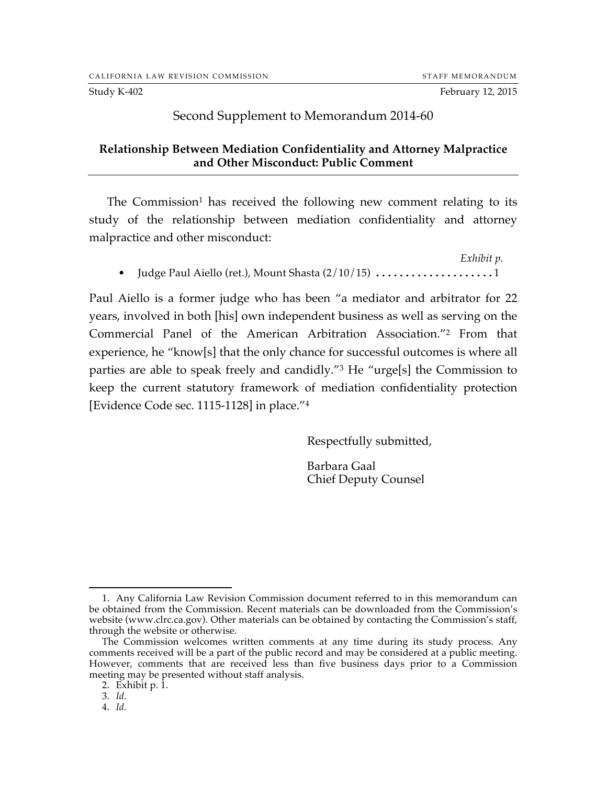## Second Supplement to Memorandum 2014-60

## **Relationship Between Mediation Confidentiality and Attorney Malpractice and Other Misconduct: Public Comment**

The Commission<sup>1</sup> has received the following new comment relating to its study of the relationship between mediation confidentiality and attorney malpractice and other misconduct:

*Exhibit p.* • Judge Paul Aiello (ret.), Mount Shasta (2/10/15) ....................1

Paul Aiello is a former judge who has been "a mediator and arbitrator for 22 years, involved in both [his] own independent business as well as serving on the Commercial Panel of the American Arbitration Association."2 From that experience, he "know[s] that the only chance for successful outcomes is where all parties are able to speak freely and candidly."3 He "urge[s] the Commission to keep the current statutory framework of mediation confidentiality protection [Evidence Code sec. 1115-1128] in place."4

Respectfully submitted,

Barbara Gaal Chief Deputy Counsel

 <sup>1.</sup> Any California Law Revision Commission document referred to in this memorandum can be obtained from the Commission. Recent materials can be downloaded from the Commission's website (www.clrc.ca.gov). Other materials can be obtained by contacting the Commission's staff, through the website or otherwise.

The Commission welcomes written comments at any time during its study process. Any comments received will be a part of the public record and may be considered at a public meeting. However, comments that are received less than five business days prior to a Commission meeting may be presented without staff analysis.

<sup>2.</sup> Exhibit p. 1.

<sup>3.</sup> *Id.*

<sup>4.</sup> *Id.*